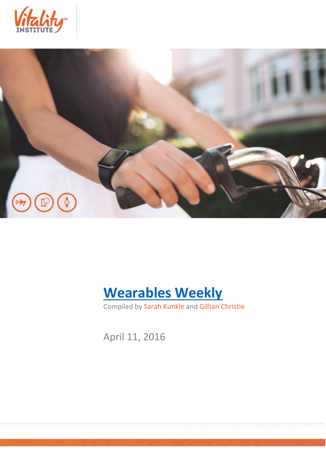





Compiled by Sarah Kunkle and Gillian Christie

April 11, 2016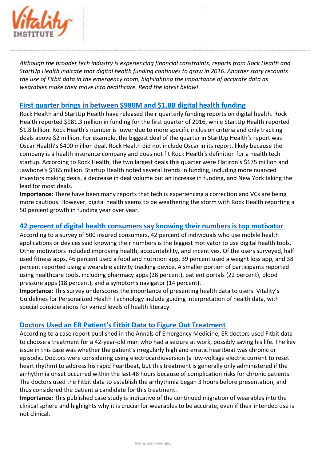

*Although the broader tech industry is experiencing financial constraints, reports from Rock Health and StartUp Health indicate that digital health funding continues to grow in 2016. Another story recounts the use of Fitbit data in the emergency room, highlighting the importance of accurate data as wearables make their move into healthcare. Read the latest below!*

## **[First quarter brings in between \\$980M and \\$1.8B digital health funding](http://mobihealthnews.com/content/first-quarter-brings-between-980m-and-18b-digital-health-funding)**

Rock Health and StartUp Health have released their quarterly funding reports on digital health. Rock Health reported \$981.3 million in funding for the first quarter of 2016, while StartUp Health reported \$1.8 billion. Rock Health's number is lower due to more specific inclusion criteria and only tracking deals above \$2 million. For example, the biggest deal of the quarter in StartUp Health's report was Oscar Health's \$400 million deal. Rock Health did not include Oscar in its report, likely because the company is a health insurance company and does not fit Rock Health's definition for a health tech startup. According to Rock Health, the two largest deals this quarter were Flatiron's \$175 million and Jawbone's \$165 million. Startup Health noted several trends in funding, including more nuanced investors making deals, a decrease in deal volume but an increase in funding, and New York taking the lead for most deals.

**Importance:** There have been many reports that tech is experiencing a correction and VCs are being more cautious. However, digital health seems to be weathering the storm with Rock Health reporting a 50 percent growth in funding year over year.

## **[42 percent of digital health consumers say knowing their numbers is top motivator](http://mobihealthnews.com/content/survey-42-percent-digital-health-consumers-say-knowing-their-numbers-top-motivator)**

According to a survey of 500 insured consumers, 42 percent of individuals who use mobile health applications or devices said knowing their numbers is the biggest motivator to use digital health tools. Other motivators included improving health, accountability, and incentives. Of the users surveyed, half used fitness apps, 46 percent used a food and nutrition app, 39 percent used a weight loss app, and 38 percent reported using a wearable activity tracking device. A smaller portion of participants reported using healthcare tools, including pharmacy apps (28 percent), patient portals (22 percent), blood pressure apps (18 percent), and a symptoms navigator (14 percent).

**Importance:** This survey underscores the importance of presenting health data to users. Vitality's Guidelines for Personalized Health Technology include guiding interpretation of health data, with special considerations for varied levels of health literacy.

## **[Doctors Used an ER Patient's Fitbit Data to Figure Out Treatment](http://www.slate.com/blogs/future_tense/2016/04/07/doctors_used_an_er_patient_s_fitbit_data_to_justify_electrical_cardioversion.html)**

According to a case report published in the Annals of Emergency Medicine, ER doctors used Fitbit data to choose a treatment for a 42-year-old man who had a seizure at work, possibly saving his life. The key issue in this case was whether the patient's irregularly high and erratic heartbeat was chronic or episodic. Doctors were considering using electrocardioversion (a low-voltage electric current to reset heart rhythm) to address his rapid heartbeat, but this treatment is generally only administered if the arrhythmia onset occurred within the last 48 hours because of complication risks for chronic patients. The doctors used the Fitbit data to establish the arrhythmia began 3 hours before presentation, and thus considered the patient a candidate for this treatment.

**Importance:** This published case study is indicative of the continued migration of wearables into the clinical sphere and highlights why it is crucial for wearables to be accurate, even if their intended use is not clinical.